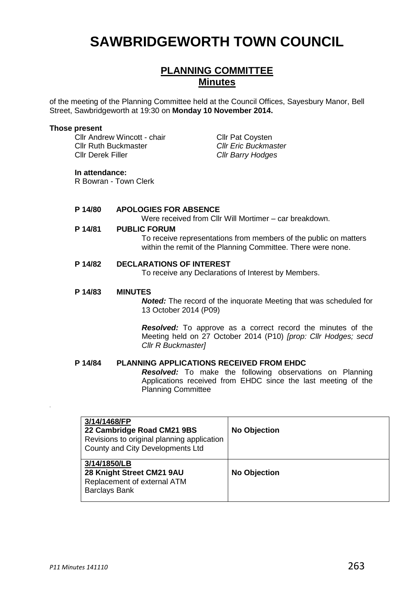# **SAWBRIDGEWORTH TOWN COUNCIL**

# **PLANNING COMMITTEE Minutes**

of the meeting of the Planning Committee held at the Council Offices, Sayesbury Manor, Bell Street, Sawbridgeworth at 19:30 on **Monday 10 November 2014.**

#### **Those present**

Cllr Andrew Wincott - chair Cllr Pat Coysten Cllr Ruth Buckmaster *Cllr Eric Buckmaster* Cllr Derek Filler *Cllr Barry Hodges*

## **In attendance:**

R Bowran - Town Clerk

# **P 14/80 APOLOGIES FOR ABSENCE**

Were received from Cllr Will Mortimer – car breakdown.

#### **P 14/81 PUBLIC FORUM**

To receive representations from members of the public on matters within the remit of the Planning Committee. There were none.

#### **P 14/82 DECLARATIONS OF INTEREST**

To receive any Declarations of Interest by Members.

#### **P 14/83 MINUTES**

*Noted:* The record of the inquorate Meeting that was scheduled for 13 October 2014 (P09)

*Resolved:* To approve as a correct record the minutes of the Meeting held on 27 October 2014 (P10) *[prop: Cllr Hodges; secd Cllr R Buckmaster]*

# **P 14/84 PLANNING APPLICATIONS RECEIVED FROM EHDC**

*Resolved:* To make the following observations on Planning Applications received from EHDC since the last meeting of the Planning Committee

| 3/14/1468/FP<br>22 Cambridge Road CM21 9BS<br>Revisions to original planning application<br>County and City Developments Ltd | <b>No Objection</b> |
|------------------------------------------------------------------------------------------------------------------------------|---------------------|
| 3/14/1850/LB<br>28 Knight Street CM21 9AU<br>Replacement of external ATM<br><b>Barclays Bank</b>                             | <b>No Objection</b> |

.